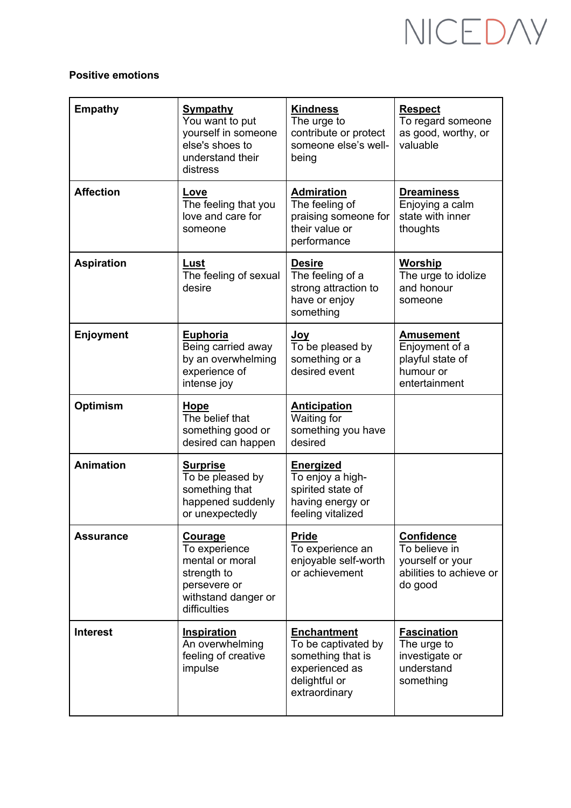## NICEDAY

## **Positive emotions**

| <b>Empathy</b>    | <b>Sympathy</b><br>You want to put<br>yourself in someone<br>else's shoes to<br>understand their<br>distress             | <b>Kindness</b><br>The urge to<br>contribute or protect<br>someone else's well-<br>being                           | <b>Respect</b><br>To regard someone<br>as good, worthy, or<br>valuable                       |
|-------------------|--------------------------------------------------------------------------------------------------------------------------|--------------------------------------------------------------------------------------------------------------------|----------------------------------------------------------------------------------------------|
| <b>Affection</b>  | Love<br>The feeling that you<br>love and care for<br>someone                                                             | <b>Admiration</b><br>The feeling of<br>praising someone for<br>their value or<br>performance                       | <b>Dreaminess</b><br>Enjoying a calm<br>state with inner<br>thoughts                         |
| <b>Aspiration</b> | Lust<br>The feeling of sexual<br>desire                                                                                  | <b>Desire</b><br>The feeling of a<br>strong attraction to<br>have or enjoy<br>something                            | <b>Worship</b><br>The urge to idolize<br>and honour<br>someone                               |
| <b>Enjoyment</b>  | <b>Euphoria</b><br>Being carried away<br>by an overwhelming<br>experience of<br>intense joy                              | <u>Joy</u><br>To be pleased by<br>something or a<br>desired event                                                  | <b>Amusement</b><br>Enjoyment of a<br>playful state of<br>humour or<br>entertainment         |
| <b>Optimism</b>   | Hope<br>The belief that<br>something good or<br>desired can happen                                                       | <b>Anticipation</b><br>Waiting for<br>something you have<br>desired                                                |                                                                                              |
| <b>Animation</b>  | <b>Surprise</b><br>To be pleased by<br>something that<br>happened suddenly<br>or unexpectedly                            | <b>Energized</b><br>To enjoy a high-<br>spirited state of<br>having energy or<br>feeling vitalized                 |                                                                                              |
| <b>Assurance</b>  | <u>Courage</u><br>To experience<br>mental or moral<br>strength to<br>persevere or<br>withstand danger or<br>difficulties | <b>Pride</b><br>To experience an<br>enjoyable self-worth<br>or achievement                                         | <b>Confidence</b><br>To believe in<br>yourself or your<br>abilities to achieve or<br>do good |
| <b>Interest</b>   | <b>Inspiration</b><br>An overwhelming<br>feeling of creative<br>impulse                                                  | <b>Enchantment</b><br>To be captivated by<br>something that is<br>experienced as<br>delightful or<br>extraordinary | <b>Fascination</b><br>The urge to<br>investigate or<br>understand<br>something               |